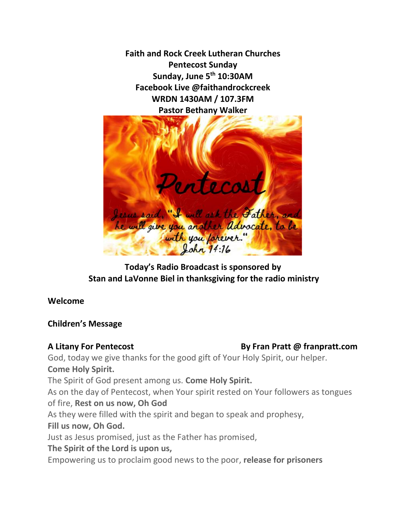**Faith and Rock Creek Lutheran Churches Pentecost Sunday Sunday, June 5th 10:30AM Facebook Live @faithandrockcreek WRDN 1430AM / 107.3FM Pastor Bethany Walker**



# **Today's Radio Broadcast is sponsored by Stan and LaVonne Biel in thanksgiving for the radio ministry**

# **Welcome**

# **Children's Message**

# **A Litany For Pentecost By Fran Pratt @ franpratt.com**

God, today we give thanks for the good gift of Your Holy Spirit, our helper. **Come Holy Spirit.**

The Spirit of God present among us. **Come Holy Spirit.**

As on the day of Pentecost, when Your spirit rested on Your followers as tongues of fire, **Rest on us now, Oh God**

As they were filled with the spirit and began to speak and prophesy,

# **Fill us now, Oh God.**

Just as Jesus promised, just as the Father has promised,

# **The Spirit of the Lord is upon us,**

Empowering us to proclaim good news to the poor, **release for prisoners**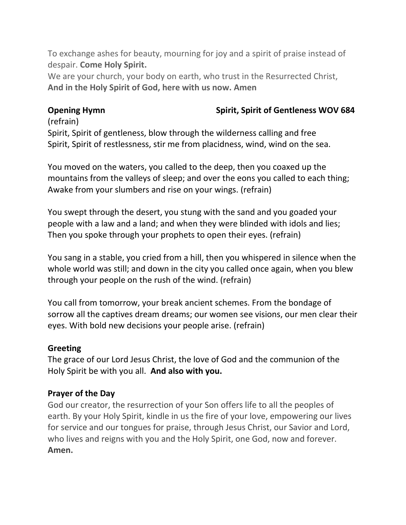To exchange ashes for beauty, mourning for joy and a spirit of praise instead of despair. **Come Holy Spirit.**

We are your church, your body on earth, who trust in the Resurrected Christ, **And in the Holy Spirit of God, here with us now. Amen**

**Opening Hymn** Spirit, Spirit of Gentleness WOV 684

# (refrain)

Spirit, Spirit of gentleness, blow through the wilderness calling and free Spirit, Spirit of restlessness, stir me from placidness, wind, wind on the sea.

You moved on the waters, you called to the deep, then you coaxed up the mountains from the valleys of sleep; and over the eons you called to each thing; Awake from your slumbers and rise on your wings. (refrain)

You swept through the desert, you stung with the sand and you goaded your people with a law and a land; and when they were blinded with idols and lies; Then you spoke through your prophets to open their eyes. (refrain)

You sang in a stable, you cried from a hill, then you whispered in silence when the whole world was still; and down in the city you called once again, when you blew through your people on the rush of the wind. (refrain)

You call from tomorrow, your break ancient schemes. From the bondage of sorrow all the captives dream dreams; our women see visions, our men clear their eyes. With bold new decisions your people arise. (refrain)

# **Greeting**

The grace of our Lord Jesus Christ, the love of God and the communion of the Holy Spirit be with you all. **And also with you.** 

# **Prayer of the Day**

God our creator, the resurrection of your Son offers life to all the peoples of earth. By your Holy Spirit, kindle in us the fire of your love, empowering our lives for service and our tongues for praise, through Jesus Christ, our Savior and Lord, who lives and reigns with you and the Holy Spirit, one God, now and forever. **Amen.**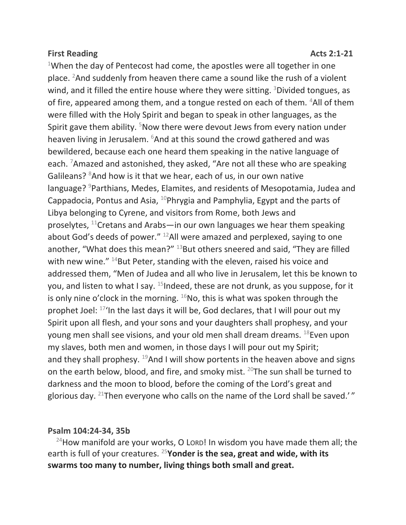## **First Reading Acts 2:1-21**

<sup>1</sup>When the day of Pentecost had come, the apostles were all together in one place. <sup>2</sup>And suddenly from heaven there came a sound like the rush of a violent wind, and it filled the entire house where they were sitting. <sup>3</sup>Divided tongues, as of fire, appeared among them, and a tongue rested on each of them. <sup>4</sup>All of them were filled with the Holy Spirit and began to speak in other languages, as the Spirit gave them ability. <sup>5</sup>Now there were devout Jews from every nation under heaven living in Jerusalem. <sup>6</sup>And at this sound the crowd gathered and was bewildered, because each one heard them speaking in the native language of each. <sup>7</sup>Amazed and astonished, they asked, "Are not all these who are speaking Galileans?  $8$ And how is it that we hear, each of us, in our own native language? <sup>9</sup>Parthians, Medes, Elamites, and residents of Mesopotamia, Judea and Cappadocia, Pontus and Asia,  $^{10}$ Phrygia and Pamphylia, Egypt and the parts of Libya belonging to Cyrene, and visitors from Rome, both Jews and proselytes,  $^{11}$ Cretans and Arabs—in our own languages we hear them speaking about God's deeds of power." <sup>12</sup>All were amazed and perplexed, saying to one another, "What does this mean?" <sup>13</sup>But others sneered and said, "They are filled with new wine." <sup>14</sup>But Peter, standing with the eleven, raised his voice and addressed them, "Men of Judea and all who live in Jerusalem, let this be known to you, and listen to what I say.  $15$ Indeed, these are not drunk, as you suppose, for it is only nine o'clock in the morning.  $^{16}$ No, this is what was spoken through the prophet Joel:  $17'$ In the last days it will be, God declares, that I will pour out my Spirit upon all flesh, and your sons and your daughters shall prophesy, and your young men shall see visions, and your old men shall dream dreams. <sup>18</sup>Even upon my slaves, both men and women, in those days I will pour out my Spirit; and they shall prophesy.  $^{19}$ And I will show portents in the heaven above and signs on the earth below, blood, and fire, and smoky mist.  $20$ The sun shall be turned to darkness and the moon to blood, before the coming of the Lord's great and glorious day.  $^{21}$ Then everyone who calls on the name of the Lord shall be saved.'"

# **Psalm 104:24-34, 35b**

 $24$ How manifold are your works, O Lord! In wisdom you have made them all; the earth is full of your creatures. <sup>25</sup>**Yonder is the sea, great and wide, with its swarms too many to number, living things both small and great.**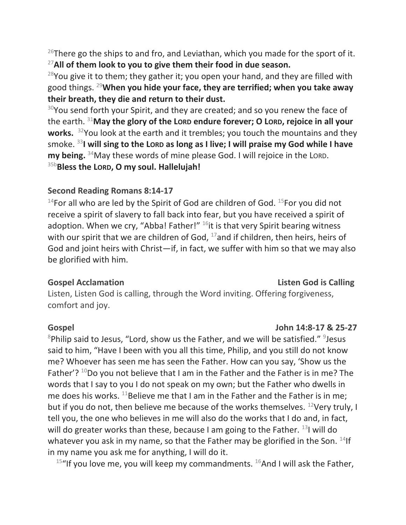$^{26}$ There go the ships to and fro, and Leviathan, which you made for the sport of it. <sup>27</sup>**All of them look to you to give them their food in due season.**

 $28$ You give it to them; they gather it; you open your hand, and they are filled with good things. <sup>29</sup>**When you hide your face, they are terrified; when you take away their breath, they die and return to their dust.**

 $30$ You send forth your Spirit, and they are created; and so you renew the face of the earth. <sup>31</sup>**May the glory of the LORD endure forever; O LORD, rejoice in all your works.** <sup>32</sup>You look at the earth and it trembles; you touch the mountains and they smoke. <sup>33</sup>**I will sing to the LORD as long as I live; I will praise my God while I have my being.** <sup>34</sup>May these words of mine please God. I will rejoice in the LORD. 35b**Bless the LORD, O my soul. Hallelujah!**

# **Second Reading Romans 8:14-17**

 $14$ For all who are led by the Spirit of God are children of God.  $15$ For you did not receive a spirit of slavery to fall back into fear, but you have received a spirit of adoption. When we cry, "Abba! Father!"  $16$ it is that very Spirit bearing witness with our spirit that we are children of God,  $^{17}$  and if children, then heirs, heirs of God and joint heirs with Christ—if, in fact, we suffer with him so that we may also be glorified with him.

**Gospel Acclamation Listen God is Calling** 

Listen, Listen God is calling, through the Word inviting. Offering forgiveness, comfort and joy.

### **Gospel John 14:8-17 & 25-27**

 $8$ Philip said to Jesus, "Lord, show us the Father, and we will be satisfied."  $9$ Jesus said to him, "Have I been with you all this time, Philip, and you still do not know me? Whoever has seen me has seen the Father. How can you say, 'Show us the Father'?  $^{10}$ Do you not believe that I am in the Father and the Father is in me? The words that I say to you I do not speak on my own; but the Father who dwells in me does his works. <sup>11</sup>Believe me that I am in the Father and the Father is in me; but if you do not, then believe me because of the works themselves.  $12$ Very truly, I tell you, the one who believes in me will also do the works that I do and, in fact, will do greater works than these, because I am going to the Father.  $^{13}$ I will do whatever you ask in my name, so that the Father may be glorified in the Son.  $^{14}$ If in my name you ask me for anything, I will do it.

 $15$ "If you love me, you will keep my commandments.  $16$ And I will ask the Father,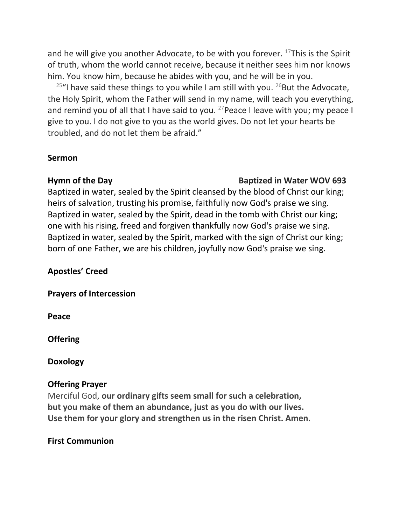and he will give you another Advocate, to be with you forever.  $^{17}$ This is the Spirit of truth, whom the world cannot receive, because it neither sees him nor knows him. You know him, because he abides with you, and he will be in you.

<sup>25"</sup>I have said these things to you while I am still with you. <sup>26</sup>But the Advocate, the Holy Spirit, whom the Father will send in my name, will teach you everything, and remind you of all that I have said to you.  $27$  Peace I leave with you; my peace I give to you. I do not give to you as the world gives. Do not let your hearts be troubled, and do not let them be afraid."

### **Sermon**

### **Hymn of the Day Construction Construction Construction Baptized in Water WOV 693**

Baptized in water, sealed by the Spirit cleansed by the blood of Christ our king; heirs of salvation, trusting his promise, faithfully now God's praise we sing. Baptized in water, sealed by the Spirit, dead in the tomb with Christ our king; one with his rising, freed and forgiven thankfully now God's praise we sing. Baptized in water, sealed by the Spirit, marked with the sign of Christ our king; born of one Father, we are his children, joyfully now God's praise we sing.

# **Apostles' Creed**

**Prayers of Intercession**

**Peace**

**Offering** 

**Doxology**

## **Offering Prayer**

Merciful God, **our ordinary gifts seem small for such a celebration, but you make of them an abundance, just as you do with our lives. Use them for your glory and strengthen us in the risen Christ. Amen.**

## **First Communion**